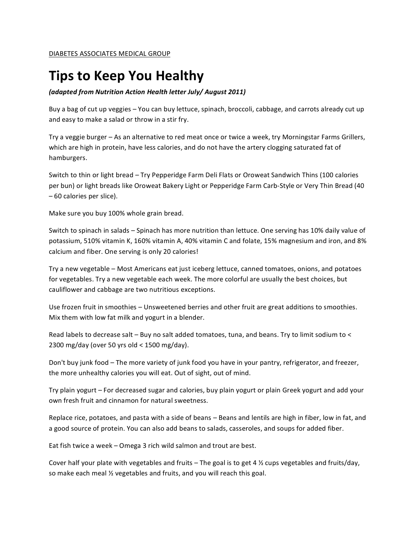## **Tips to Keep You Healthy**

## *(adapted'from'Nutrition'Action'Health'letter'July/'August'2011)*

Buy a bag of cut up veggies - You can buy lettuce, spinach, broccoli, cabbage, and carrots already cut up and easy to make a salad or throw in a stir fry.

Try a veggie burger – As an alternative to red meat once or twice a week, try Morningstar Farms Grillers, which are high in protein, have less calories, and do not have the artery clogging saturated fat of hamburgers.

Switch to thin or light bread – Try Pepperidge Farm Deli Flats or Oroweat Sandwich Thins (100 calories per bun) or light breads like Oroweat Bakery Light or Pepperidge Farm Carb-Style or Very Thin Bread (40  $-60$  calories per slice).

Make sure you buy 100% whole grain bread.

Switch to spinach in salads – Spinach has more nutrition than lettuce. One serving has 10% daily value of potassium, 510% vitamin K, 160% vitamin A, 40% vitamin C and folate, 15% magnesium and iron, and 8% calcium and fiber. One serving is only 20 calories!

Try a new vegetable - Most Americans eat just iceberg lettuce, canned tomatoes, onions, and potatoes for vegetables. Try a new vegetable each week. The more colorful are usually the best choices, but cauliflower and cabbage are two nutritious exceptions.

Use frozen fruit in smoothies – Unsweetened berries and other fruit are great additions to smoothies. Mix them with low fat milk and yogurt in a blender.

Read labels to decrease salt - Buy no salt added tomatoes, tuna, and beans. Try to limit sodium to < 2300 mg/day (over 50 yrs old < 1500 mg/day).

Don't buy junk food – The more variety of junk food you have in your pantry, refrigerator, and freezer, the more unhealthy calories you will eat. Out of sight, out of mind.

Try plain yogurt – For decreased sugar and calories, buy plain yogurt or plain Greek yogurt and add your own fresh fruit and cinnamon for natural sweetness.

Replace rice, potatoes, and pasta with a side of beans – Beans and lentils are high in fiber, low in fat, and a good source of protein. You can also add beans to salads, casseroles, and soups for added fiber.

Eat fish twice a week – Omega 3 rich wild salmon and trout are best.

Cover half your plate with vegetables and fruits – The goal is to get 4  $\frac{1}{2}$  cups vegetables and fruits/day, so make each meal  $\frac{1}{2}$  vegetables and fruits, and you will reach this goal.